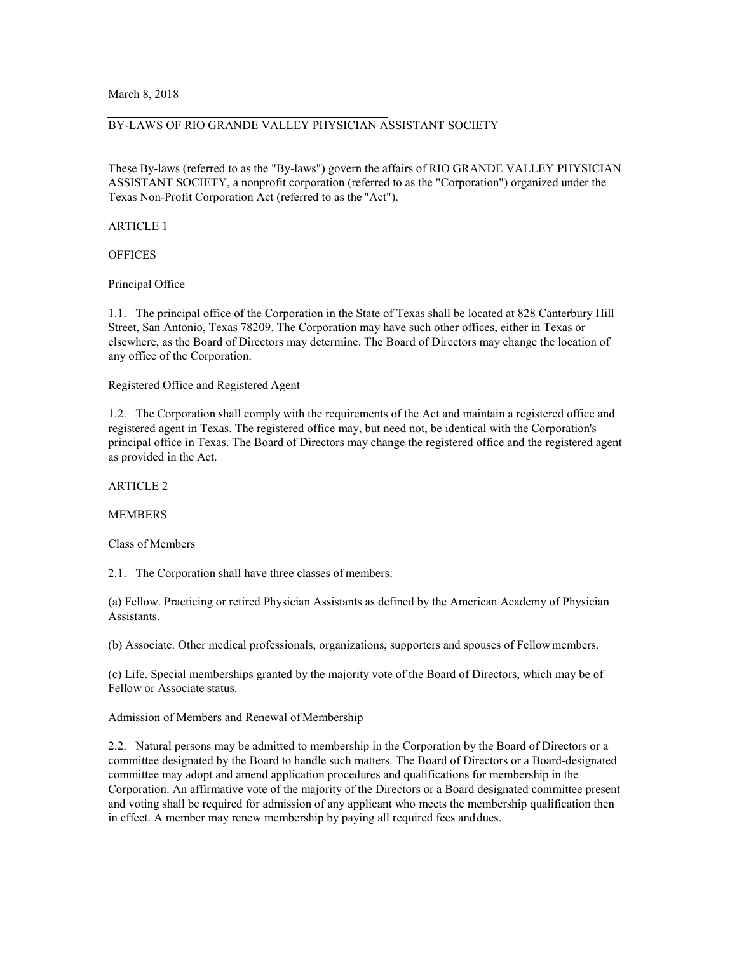### BY-LAWS OF RIO GRANDE VALLEY PHYSICIAN ASSISTANT SOCIETY

These By-laws (referred to as the "By-laws") govern the affairs of RIO GRANDE VALLEY PHYSICIAN ASSISTANT SOCIETY, a nonprofit corporation (referred to as the "Corporation") organized under the Texas Non-Profit Corporation Act (referred to as the "Act").

ARTICLE 1

**OFFICES** 

Principal Office

1.1. The principal office of the Corporation in the State of Texas shall be located at 828 Canterbury Hill Street, San Antonio, Texas 78209. The Corporation may have such other offices, either in Texas or elsewhere, as the Board of Directors may determine. The Board of Directors may change the location of any office of the Corporation.

Registered Office and Registered Agent

1.2. The Corporation shall comply with the requirements of the Act and maintain a registered office and registered agent in Texas. The registered office may, but need not, be identical with the Corporation's principal office in Texas. The Board of Directors may change the registered office and the registered agent as provided in the Act.

ARTICLE 2

#### MEMBERS

Class of Members

2.1. The Corporation shall have three classes of members:

(a) Fellow. Practicing or retired Physician Assistants as defined by the American Academy of Physician Assistants.

(b) Associate. Other medical professionals, organizations, supporters and spouses of Fellowmembers.

(c) Life. Special memberships granted by the majority vote of the Board of Directors, which may be of Fellow or Associate status.

Admission of Members and Renewal of Membership

2.2. Natural persons may be admitted to membership in the Corporation by the Board of Directors or a committee designated by the Board to handle such matters. The Board of Directors or a Board-designated committee may adopt and amend application procedures and qualifications for membership in the Corporation. An affirmative vote of the majority of the Directors or a Board designated committee present and voting shall be required for admission of any applicant who meets the membership qualification then in effect. A member may renew membership by paying all required fees anddues.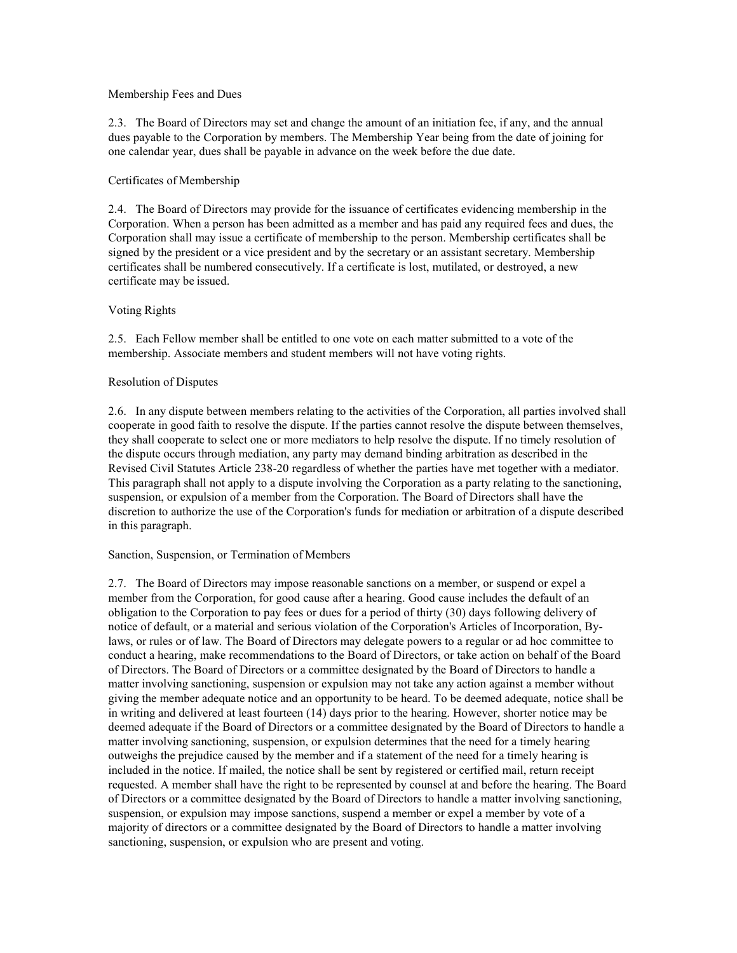### Membership Fees and Dues

2.3. The Board of Directors may set and change the amount of an initiation fee, if any, and the annual dues payable to the Corporation by members. The Membership Year being from the date of joining for one calendar year, dues shall be payable in advance on the week before the due date.

# Certificates of Membership

2.4. The Board of Directors may provide for the issuance of certificates evidencing membership in the Corporation. When a person has been admitted as a member and has paid any required fees and dues, the Corporation shall may issue a certificate of membership to the person. Membership certificates shall be signed by the president or a vice president and by the secretary or an assistant secretary. Membership certificates shall be numbered consecutively. If a certificate is lost, mutilated, or destroyed, a new certificate may be issued.

## Voting Rights

2.5. Each Fellow member shall be entitled to one vote on each matter submitted to a vote of the membership. Associate members and student members will not have voting rights.

## Resolution of Disputes

2.6. In any dispute between members relating to the activities of the Corporation, all parties involved shall cooperate in good faith to resolve the dispute. If the parties cannot resolve the dispute between themselves, they shall cooperate to select one or more mediators to help resolve the dispute. If no timely resolution of the dispute occurs through mediation, any party may demand binding arbitration as described in the Revised Civil Statutes Article 238-20 regardless of whether the parties have met together with a mediator. This paragraph shall not apply to a dispute involving the Corporation as a party relating to the sanctioning, suspension, or expulsion of a member from the Corporation. The Board of Directors shall have the discretion to authorize the use of the Corporation's funds for mediation or arbitration of a dispute described in this paragraph.

### Sanction, Suspension, or Termination of Members

2.7. The Board of Directors may impose reasonable sanctions on a member, or suspend or expel a member from the Corporation, for good cause after a hearing. Good cause includes the default of an obligation to the Corporation to pay fees or dues for a period of thirty (30) days following delivery of notice of default, or a material and serious violation of the Corporation's Articles of Incorporation, Bylaws, or rules or of law. The Board of Directors may delegate powers to a regular or ad hoc committee to conduct a hearing, make recommendations to the Board of Directors, or take action on behalf of the Board of Directors. The Board of Directors or a committee designated by the Board of Directors to handle a matter involving sanctioning, suspension or expulsion may not take any action against a member without giving the member adequate notice and an opportunity to be heard. To be deemed adequate, notice shall be in writing and delivered at least fourteen (14) days prior to the hearing. However, shorter notice may be deemed adequate if the Board of Directors or a committee designated by the Board of Directors to handle a matter involving sanctioning, suspension, or expulsion determines that the need for a timely hearing outweighs the prejudice caused by the member and if a statement of the need for a timely hearing is included in the notice. If mailed, the notice shall be sent by registered or certified mail, return receipt requested. A member shall have the right to be represented by counsel at and before the hearing. The Board of Directors or a committee designated by the Board of Directors to handle a matter involving sanctioning, suspension, or expulsion may impose sanctions, suspend a member or expel a member by vote of a majority of directors or a committee designated by the Board of Directors to handle a matter involving sanctioning, suspension, or expulsion who are present and voting.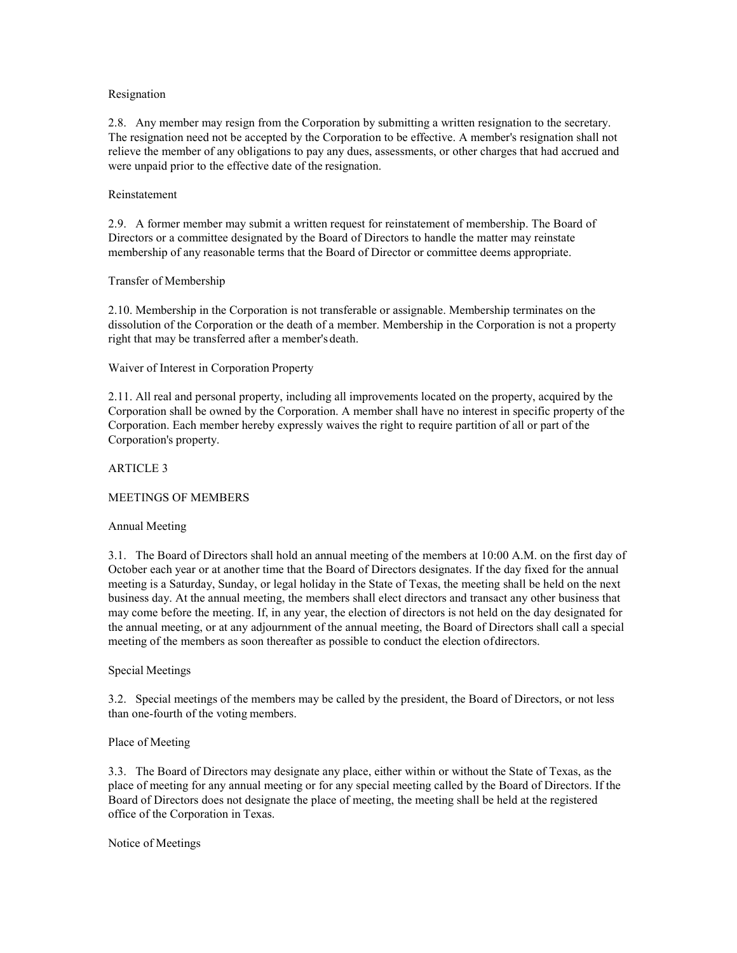### Resignation

2.8. Any member may resign from the Corporation by submitting a written resignation to the secretary. The resignation need not be accepted by the Corporation to be effective. A member's resignation shall not relieve the member of any obligations to pay any dues, assessments, or other charges that had accrued and were unpaid prior to the effective date of the resignation.

# Reinstatement

2.9. A former member may submit a written request for reinstatement of membership. The Board of Directors or a committee designated by the Board of Directors to handle the matter may reinstate membership of any reasonable terms that the Board of Director or committee deems appropriate.

# Transfer of Membership

2.10. Membership in the Corporation is not transferable or assignable. Membership terminates on the dissolution of the Corporation or the death of a member. Membership in the Corporation is not a property right that may be transferred after a member's death.

# Waiver of Interest in Corporation Property

2.11. All real and personal property, including all improvements located on the property, acquired by the Corporation shall be owned by the Corporation. A member shall have no interest in specific property of the Corporation. Each member hereby expressly waives the right to require partition of all or part of the Corporation's property.

## ARTICLE 3

# MEETINGS OF MEMBERS

# Annual Meeting

3.1. The Board of Directors shall hold an annual meeting of the members at 10:00 A.M. on the first day of October each year or at another time that the Board of Directors designates. If the day fixed for the annual meeting is a Saturday, Sunday, or legal holiday in the State of Texas, the meeting shall be held on the next business day. At the annual meeting, the members shall elect directors and transact any other business that may come before the meeting. If, in any year, the election of directors is not held on the day designated for the annual meeting, or at any adjournment of the annual meeting, the Board of Directors shall call a special meeting of the members as soon thereafter as possible to conduct the election ofdirectors.

### Special Meetings

3.2. Special meetings of the members may be called by the president, the Board of Directors, or not less than one-fourth of the voting members.

### Place of Meeting

3.3. The Board of Directors may designate any place, either within or without the State of Texas, as the place of meeting for any annual meeting or for any special meeting called by the Board of Directors. If the Board of Directors does not designate the place of meeting, the meeting shall be held at the registered office of the Corporation in Texas.

### Notice of Meetings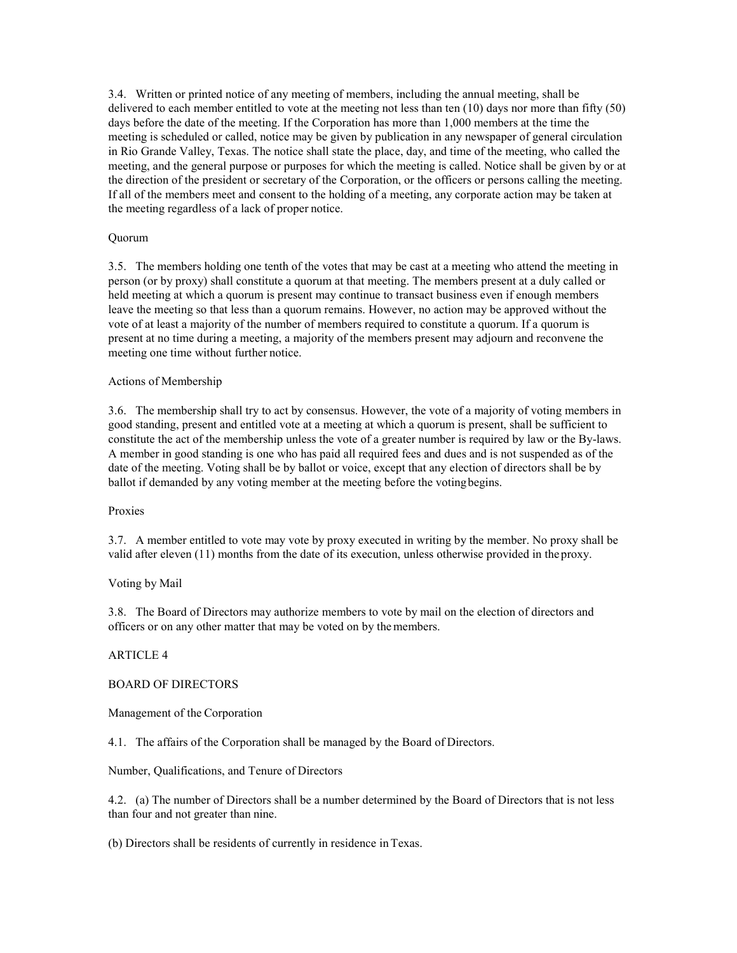3.4. Written or printed notice of any meeting of members, including the annual meeting, shall be delivered to each member entitled to vote at the meeting not less than ten (10) days nor more than fifty (50) days before the date of the meeting. If the Corporation has more than 1,000 members at the time the meeting is scheduled or called, notice may be given by publication in any newspaper of general circulation in Rio Grande Valley, Texas. The notice shall state the place, day, and time of the meeting, who called the meeting, and the general purpose or purposes for which the meeting is called. Notice shall be given by or at the direction of the president or secretary of the Corporation, or the officers or persons calling the meeting. If all of the members meet and consent to the holding of a meeting, any corporate action may be taken at the meeting regardless of a lack of proper notice.

# Quorum

3.5. The members holding one tenth of the votes that may be cast at a meeting who attend the meeting in person (or by proxy) shall constitute a quorum at that meeting. The members present at a duly called or held meeting at which a quorum is present may continue to transact business even if enough members leave the meeting so that less than a quorum remains. However, no action may be approved without the vote of at least a majority of the number of members required to constitute a quorum. If a quorum is present at no time during a meeting, a majority of the members present may adjourn and reconvene the meeting one time without further notice.

### Actions of Membership

3.6. The membership shall try to act by consensus. However, the vote of a majority of voting members in good standing, present and entitled vote at a meeting at which a quorum is present, shall be sufficient to constitute the act of the membership unless the vote of a greater number is required by law or the By-laws. A member in good standing is one who has paid all required fees and dues and is not suspended as of the date of the meeting. Voting shall be by ballot or voice, except that any election of directors shall be by ballot if demanded by any voting member at the meeting before the votingbegins.

### Proxies

3.7. A member entitled to vote may vote by proxy executed in writing by the member. No proxy shall be valid after eleven (11) months from the date of its execution, unless otherwise provided in the proxy.

### Voting by Mail

3.8. The Board of Directors may authorize members to vote by mail on the election of directors and officers or on any other matter that may be voted on by themembers.

### ARTICLE 4

# BOARD OF DIRECTORS

Management of the Corporation

4.1. The affairs of the Corporation shall be managed by the Board of Directors.

Number, Qualifications, and Tenure of Directors

4.2. (a) The number of Directors shall be a number determined by the Board of Directors that is not less than four and not greater than nine.

(b) Directors shall be residents of currently in residence in Texas.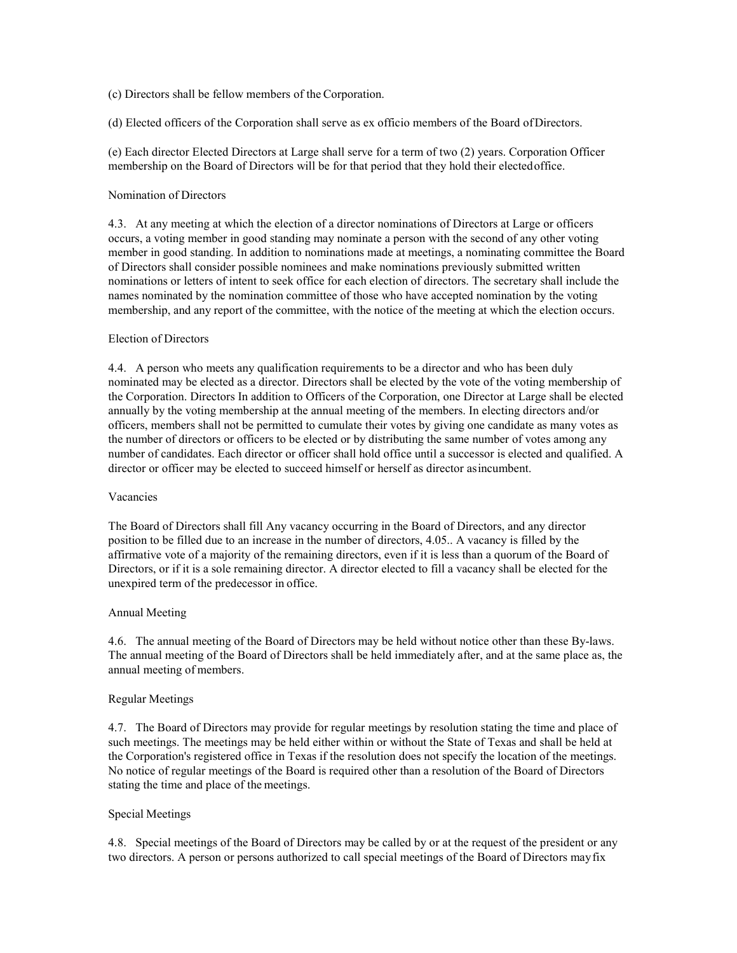(c) Directors shall be fellow members of the Corporation.

(d) Elected officers of the Corporation shall serve as ex officio members of the Board ofDirectors.

(e) Each director Elected Directors at Large shall serve for a term of two (2) years. Corporation Officer membership on the Board of Directors will be for that period that they hold their electedoffice.

### Nomination of Directors

4.3. At any meeting at which the election of a director nominations of Directors at Large or officers occurs, a voting member in good standing may nominate a person with the second of any other voting member in good standing. In addition to nominations made at meetings, a nominating committee the Board of Directors shall consider possible nominees and make nominations previously submitted written nominations or letters of intent to seek office for each election of directors. The secretary shall include the names nominated by the nomination committee of those who have accepted nomination by the voting membership, and any report of the committee, with the notice of the meeting at which the election occurs.

## Election of Directors

4.4. A person who meets any qualification requirements to be a director and who has been duly nominated may be elected as a director. Directors shall be elected by the vote of the voting membership of the Corporation. Directors In addition to Officers of the Corporation, one Director at Large shall be elected annually by the voting membership at the annual meeting of the members. In electing directors and/or officers, members shall not be permitted to cumulate their votes by giving one candidate as many votes as the number of directors or officers to be elected or by distributing the same number of votes among any number of candidates. Each director or officer shall hold office until a successor is elected and qualified. A director or officer may be elected to succeed himself or herself as director asincumbent.

### Vacancies

The Board of Directors shall fill Any vacancy occurring in the Board of Directors, and any director position to be filled due to an increase in the number of directors, 4.05.. A vacancy is filled by the affirmative vote of a majority of the remaining directors, even if it is less than a quorum of the Board of Directors, or if it is a sole remaining director. A director elected to fill a vacancy shall be elected for the unexpired term of the predecessor in office.

### Annual Meeting

4.6. The annual meeting of the Board of Directors may be held without notice other than these By-laws. The annual meeting of the Board of Directors shall be held immediately after, and at the same place as, the annual meeting of members.

### Regular Meetings

4.7. The Board of Directors may provide for regular meetings by resolution stating the time and place of such meetings. The meetings may be held either within or without the State of Texas and shall be held at the Corporation's registered office in Texas if the resolution does not specify the location of the meetings. No notice of regular meetings of the Board is required other than a resolution of the Board of Directors stating the time and place of the meetings.

# Special Meetings

4.8. Special meetings of the Board of Directors may be called by or at the request of the president or any two directors. A person or persons authorized to call special meetings of the Board of Directors mayfix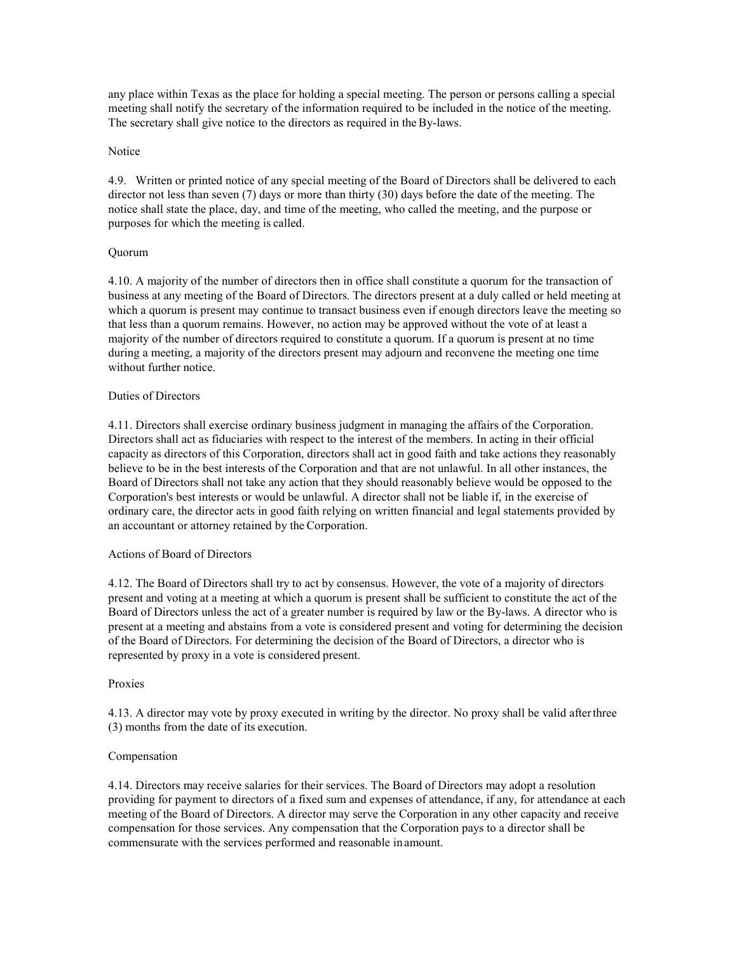any place within Texas as the place for holding a special meeting. The person or persons calling a special meeting shall notify the secretary of the information required to be included in the notice of the meeting. The secretary shall give notice to the directors as required in the By-laws.

### **Notice**

4.9. Written or printed notice of any special meeting of the Board of Directors shall be delivered to each director not less than seven (7) days or more than thirty (30) days before the date of the meeting. The notice shall state the place, day, and time of the meeting, who called the meeting, and the purpose or purposes for which the meeting is called.

## Quorum

4.10. A majority of the number of directors then in office shall constitute a quorum for the transaction of business at any meeting of the Board of Directors. The directors present at a duly called or held meeting at which a quorum is present may continue to transact business even if enough directors leave the meeting so that less than a quorum remains. However, no action may be approved without the vote of at least a majority of the number of directors required to constitute a quorum. If a quorum is present at no time during a meeting, a majority of the directors present may adjourn and reconvene the meeting one time without further notice.

## Duties of Directors

4.11. Directors shall exercise ordinary business judgment in managing the affairs of the Corporation. Directors shall act as fiduciaries with respect to the interest of the members. In acting in their official capacity as directors of this Corporation, directors shall act in good faith and take actions they reasonably believe to be in the best interests of the Corporation and that are not unlawful. In all other instances, the Board of Directors shall not take any action that they should reasonably believe would be opposed to the Corporation's best interests or would be unlawful. A director shall not be liable if, in the exercise of ordinary care, the director acts in good faith relying on written financial and legal statements provided by an accountant or attorney retained by the Corporation.

# Actions of Board of Directors

4.12. The Board of Directors shall try to act by consensus. However, the vote of a majority of directors present and voting at a meeting at which a quorum is present shall be sufficient to constitute the act of the Board of Directors unless the act of a greater number is required by law or the By-laws. A director who is present at a meeting and abstains from a vote is considered present and voting for determining the decision of the Board of Directors. For determining the decision of the Board of Directors, a director who is represented by proxy in a vote is considered present.

### Proxies

4.13. A director may vote by proxy executed in writing by the director. No proxy shall be valid afterthree (3) months from the date of its execution.

### Compensation

4.14. Directors may receive salaries for their services. The Board of Directors may adopt a resolution providing for payment to directors of a fixed sum and expenses of attendance, if any, for attendance at each meeting of the Board of Directors. A director may serve the Corporation in any other capacity and receive compensation for those services. Any compensation that the Corporation pays to a director shall be commensurate with the services performed and reasonable inamount.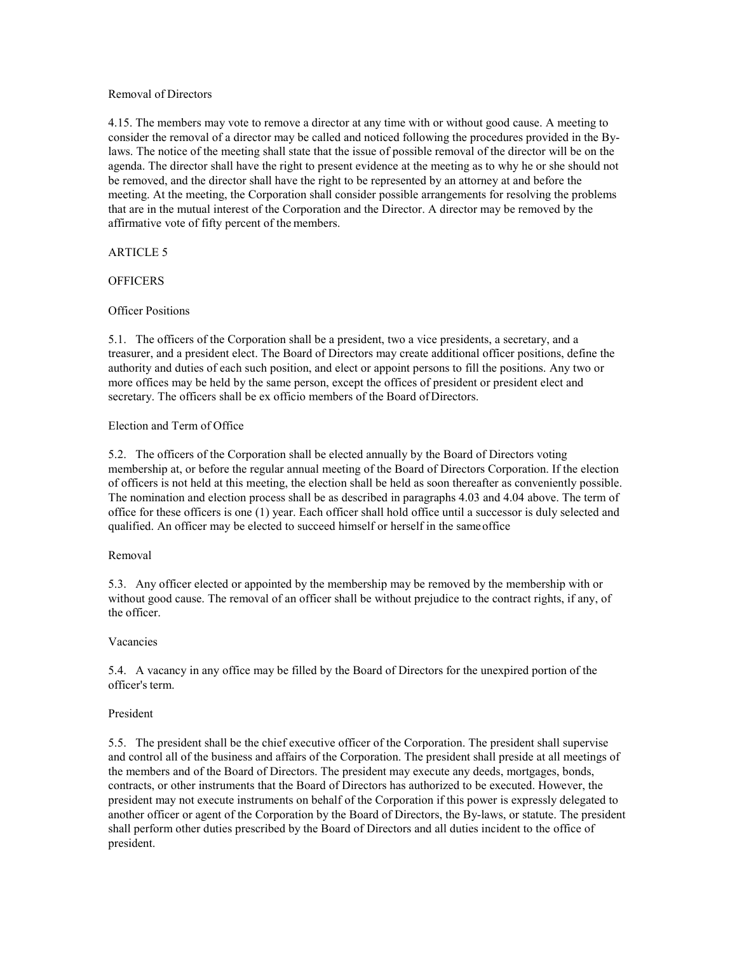### Removal of Directors

4.15. The members may vote to remove a director at any time with or without good cause. A meeting to consider the removal of a director may be called and noticed following the procedures provided in the Bylaws. The notice of the meeting shall state that the issue of possible removal of the director will be on the agenda. The director shall have the right to present evidence at the meeting as to why he or she should not be removed, and the director shall have the right to be represented by an attorney at and before the meeting. At the meeting, the Corporation shall consider possible arrangements for resolving the problems that are in the mutual interest of the Corporation and the Director. A director may be removed by the affirmative vote of fifty percent of the members.

# ARTICLE 5

# **OFFICERS**

# Officer Positions

5.1. The officers of the Corporation shall be a president, two a vice presidents, a secretary, and a treasurer, and a president elect. The Board of Directors may create additional officer positions, define the authority and duties of each such position, and elect or appoint persons to fill the positions. Any two or more offices may be held by the same person, except the offices of president or president elect and secretary. The officers shall be ex officio members of the Board of Directors.

# Election and Term of Office

5.2. The officers of the Corporation shall be elected annually by the Board of Directors voting membership at, or before the regular annual meeting of the Board of Directors Corporation. If the election of officers is not held at this meeting, the election shall be held as soon thereafter as conveniently possible. The nomination and election process shall be as described in paragraphs 4.03 and 4.04 above. The term of office for these officers is one (1) year. Each officer shall hold office until a successor is duly selected and qualified. An officer may be elected to succeed himself or herself in the sameoffice

# Removal

5.3. Any officer elected or appointed by the membership may be removed by the membership with or without good cause. The removal of an officer shall be without prejudice to the contract rights, if any, of the officer.

# Vacancies

5.4. A vacancy in any office may be filled by the Board of Directors for the unexpired portion of the officer's term.

# President

5.5. The president shall be the chief executive officer of the Corporation. The president shall supervise and control all of the business and affairs of the Corporation. The president shall preside at all meetings of the members and of the Board of Directors. The president may execute any deeds, mortgages, bonds, contracts, or other instruments that the Board of Directors has authorized to be executed. However, the president may not execute instruments on behalf of the Corporation if this power is expressly delegated to another officer or agent of the Corporation by the Board of Directors, the By-laws, or statute. The president shall perform other duties prescribed by the Board of Directors and all duties incident to the office of president.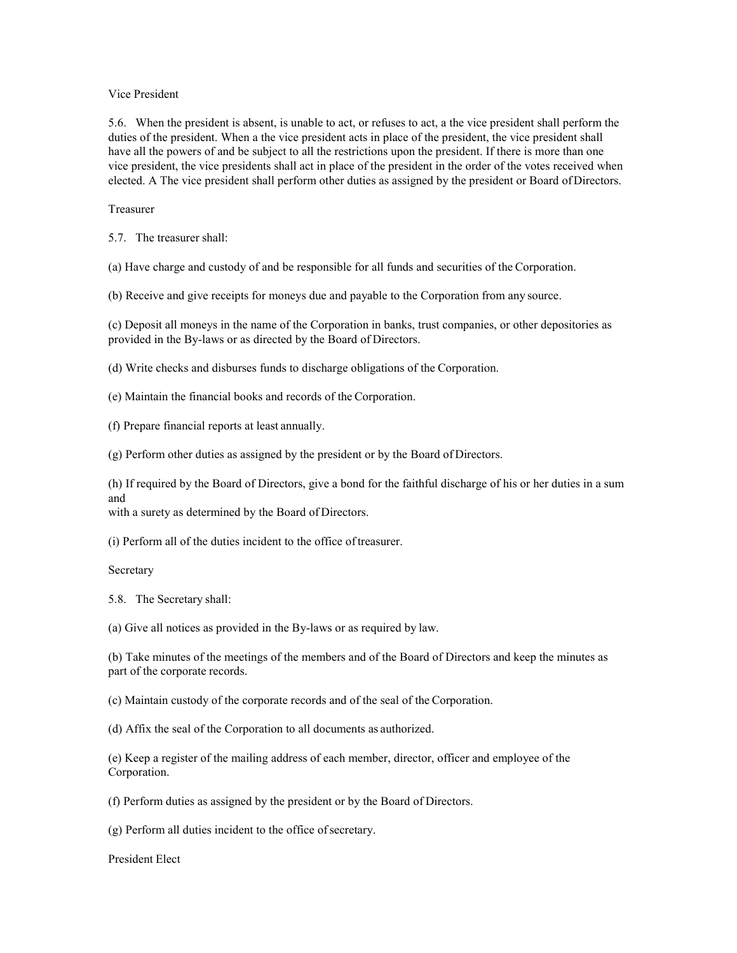### Vice President

5.6. When the president is absent, is unable to act, or refuses to act, a the vice president shall perform the duties of the president. When a the vice president acts in place of the president, the vice president shall have all the powers of and be subject to all the restrictions upon the president. If there is more than one vice president, the vice presidents shall act in place of the president in the order of the votes received when elected. A The vice president shall perform other duties as assigned by the president or Board ofDirectors.

## Treasurer

5.7. The treasurer shall:

(a) Have charge and custody of and be responsible for all funds and securities of the Corporation.

(b) Receive and give receipts for moneys due and payable to the Corporation from any source.

(c) Deposit all moneys in the name of the Corporation in banks, trust companies, or other depositories as provided in the By-laws or as directed by the Board of Directors.

(d) Write checks and disburses funds to discharge obligations of the Corporation.

(e) Maintain the financial books and records of the Corporation.

(f) Prepare financial reports at least annually.

(g) Perform other duties as assigned by the president or by the Board of Directors.

(h) If required by the Board of Directors, give a bond for the faithful discharge of his or her duties in a sum and

with a surety as determined by the Board of Directors.

(i) Perform all of the duties incident to the office oftreasurer.

Secretary

5.8. The Secretary shall:

(a) Give all notices as provided in the By-laws or as required by law.

(b) Take minutes of the meetings of the members and of the Board of Directors and keep the minutes as part of the corporate records.

(c) Maintain custody of the corporate records and of the seal of the Corporation.

(d) Affix the seal of the Corporation to all documents as authorized.

(e) Keep a register of the mailing address of each member, director, officer and employee of the Corporation.

(f) Perform duties as assigned by the president or by the Board of Directors.

(g) Perform all duties incident to the office ofsecretary.

President Elect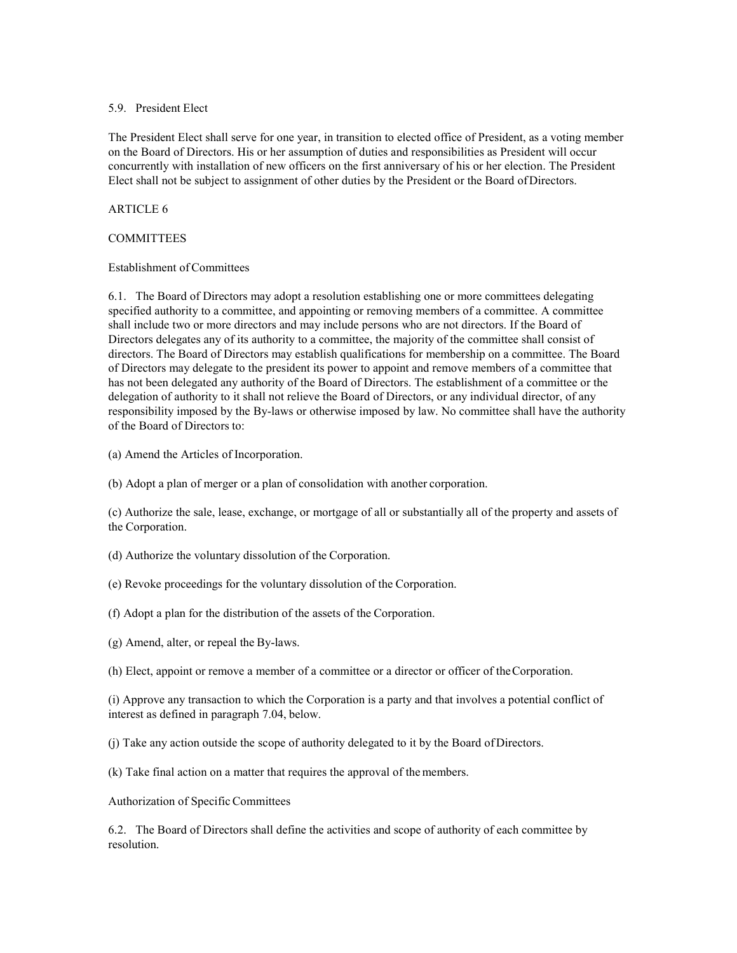### 5.9. President Elect

The President Elect shall serve for one year, in transition to elected office of President, as a voting member on the Board of Directors. His or her assumption of duties and responsibilities as President will occur concurrently with installation of new officers on the first anniversary of his or her election. The President Elect shall not be subject to assignment of other duties by the President or the Board ofDirectors.

# ARTICLE 6

# **COMMITTEES**

## Establishment of Committees

6.1. The Board of Directors may adopt a resolution establishing one or more committees delegating specified authority to a committee, and appointing or removing members of a committee. A committee shall include two or more directors and may include persons who are not directors. If the Board of Directors delegates any of its authority to a committee, the majority of the committee shall consist of directors. The Board of Directors may establish qualifications for membership on a committee. The Board of Directors may delegate to the president its power to appoint and remove members of a committee that has not been delegated any authority of the Board of Directors. The establishment of a committee or the delegation of authority to it shall not relieve the Board of Directors, or any individual director, of any responsibility imposed by the By-laws or otherwise imposed by law. No committee shall have the authority of the Board of Directors to:

(a) Amend the Articles of Incorporation.

(b) Adopt a plan of merger or a plan of consolidation with another corporation.

(c) Authorize the sale, lease, exchange, or mortgage of all or substantially all of the property and assets of the Corporation.

- (d) Authorize the voluntary dissolution of the Corporation.
- (e) Revoke proceedings for the voluntary dissolution of the Corporation.
- (f) Adopt a plan for the distribution of the assets of the Corporation.
- (g) Amend, alter, or repeal the By-laws.
- (h) Elect, appoint or remove a member of a committee or a director or officer of theCorporation.

(i) Approve any transaction to which the Corporation is a party and that involves a potential conflict of interest as defined in paragraph 7.04, below.

(j) Take any action outside the scope of authority delegated to it by the Board ofDirectors.

(k) Take final action on a matter that requires the approval of themembers.

# Authorization of Specific Committees

6.2. The Board of Directors shall define the activities and scope of authority of each committee by resolution.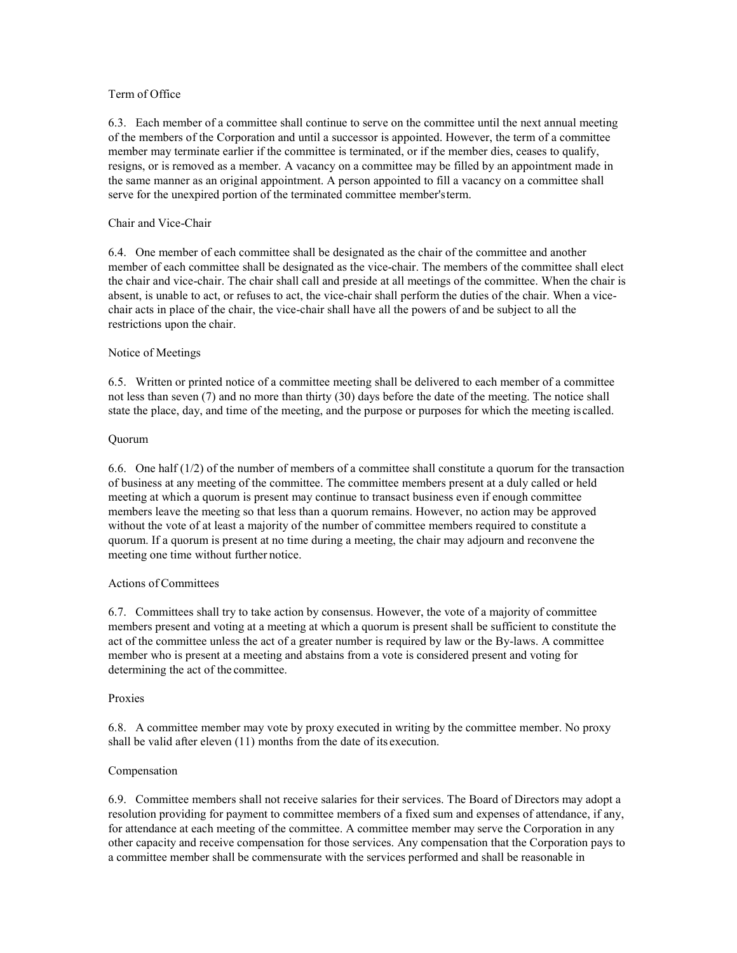# Term of Office

6.3. Each member of a committee shall continue to serve on the committee until the next annual meeting of the members of the Corporation and until a successor is appointed. However, the term of a committee member may terminate earlier if the committee is terminated, or if the member dies, ceases to qualify, resigns, or is removed as a member. A vacancy on a committee may be filled by an appointment made in the same manner as an original appointment. A person appointed to fill a vacancy on a committee shall serve for the unexpired portion of the terminated committee member'sterm.

### Chair and Vice-Chair

6.4. One member of each committee shall be designated as the chair of the committee and another member of each committee shall be designated as the vice-chair. The members of the committee shall elect the chair and vice-chair. The chair shall call and preside at all meetings of the committee. When the chair is absent, is unable to act, or refuses to act, the vice-chair shall perform the duties of the chair. When a vicechair acts in place of the chair, the vice-chair shall have all the powers of and be subject to all the restrictions upon the chair.

## Notice of Meetings

6.5. Written or printed notice of a committee meeting shall be delivered to each member of a committee not less than seven (7) and no more than thirty (30) days before the date of the meeting. The notice shall state the place, day, and time of the meeting, and the purpose or purposes for which the meeting iscalled.

## Quorum

6.6. One half (1/2) of the number of members of a committee shall constitute a quorum for the transaction of business at any meeting of the committee. The committee members present at a duly called or held meeting at which a quorum is present may continue to transact business even if enough committee members leave the meeting so that less than a quorum remains. However, no action may be approved without the vote of at least a majority of the number of committee members required to constitute a quorum. If a quorum is present at no time during a meeting, the chair may adjourn and reconvene the meeting one time without further notice.

### Actions of Committees

6.7. Committees shall try to take action by consensus. However, the vote of a majority of committee members present and voting at a meeting at which a quorum is present shall be sufficient to constitute the act of the committee unless the act of a greater number is required by law or the By-laws. A committee member who is present at a meeting and abstains from a vote is considered present and voting for determining the act of the committee.

### Proxies

6.8. A committee member may vote by proxy executed in writing by the committee member. No proxy shall be valid after eleven (11) months from the date of its execution.

### Compensation

6.9. Committee members shall not receive salaries for their services. The Board of Directors may adopt a resolution providing for payment to committee members of a fixed sum and expenses of attendance, if any, for attendance at each meeting of the committee. A committee member may serve the Corporation in any other capacity and receive compensation for those services. Any compensation that the Corporation pays to a committee member shall be commensurate with the services performed and shall be reasonable in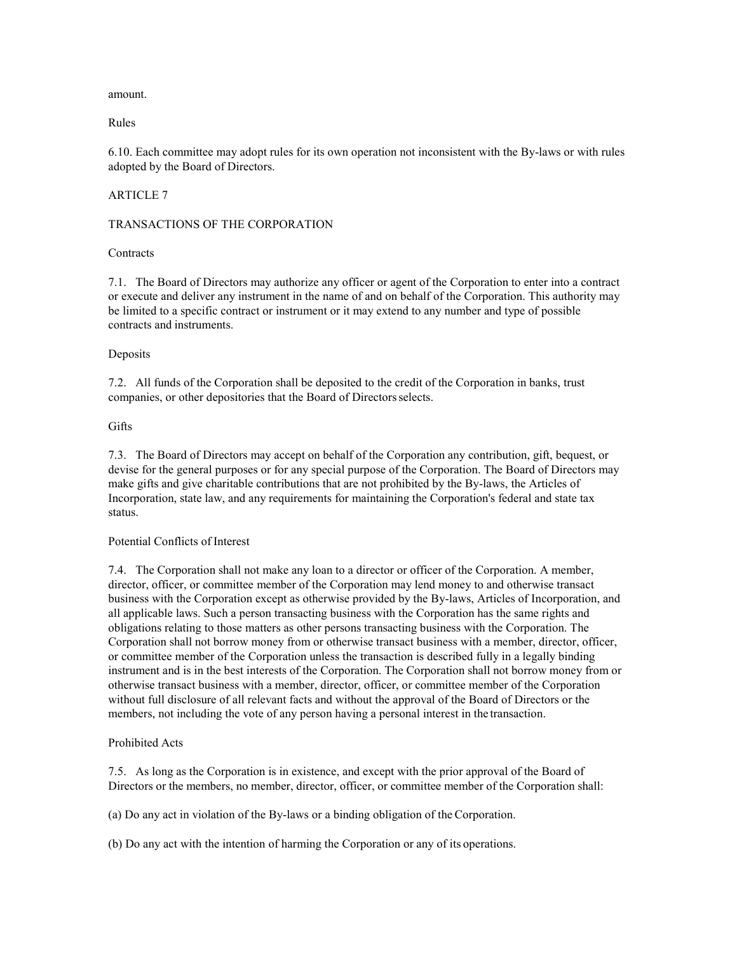amount.

Rules

6.10. Each committee may adopt rules for its own operation not inconsistent with the By-laws or with rules adopted by the Board of Directors.

# ARTICLE 7

## TRANSACTIONS OF THE CORPORATION

### **Contracts**

7.1. The Board of Directors may authorize any officer or agent of the Corporation to enter into a contract or execute and deliver any instrument in the name of and on behalf of the Corporation. This authority may be limited to a specific contract or instrument or it may extend to any number and type of possible contracts and instruments.

## **Deposits**

7.2. All funds of the Corporation shall be deposited to the credit of the Corporation in banks, trust companies, or other depositories that the Board of Directorsselects.

## Gifts

7.3. The Board of Directors may accept on behalf of the Corporation any contribution, gift, bequest, or devise for the general purposes or for any special purpose of the Corporation. The Board of Directors may make gifts and give charitable contributions that are not prohibited by the By-laws, the Articles of Incorporation, state law, and any requirements for maintaining the Corporation's federal and state tax status.

### Potential Conflicts of Interest

7.4. The Corporation shall not make any loan to a director or officer of the Corporation. A member, director, officer, or committee member of the Corporation may lend money to and otherwise transact business with the Corporation except as otherwise provided by the By-laws, Articles of Incorporation, and all applicable laws. Such a person transacting business with the Corporation has the same rights and obligations relating to those matters as other persons transacting business with the Corporation. The Corporation shall not borrow money from or otherwise transact business with a member, director, officer, or committee member of the Corporation unless the transaction is described fully in a legally binding instrument and is in the best interests of the Corporation. The Corporation shall not borrow money from or otherwise transact business with a member, director, officer, or committee member of the Corporation without full disclosure of all relevant facts and without the approval of the Board of Directors or the members, not including the vote of any person having a personal interest in the transaction.

# Prohibited Acts

7.5. As long as the Corporation is in existence, and except with the prior approval of the Board of Directors or the members, no member, director, officer, or committee member of the Corporation shall:

(a) Do any act in violation of the By-laws or a binding obligation of the Corporation.

(b) Do any act with the intention of harming the Corporation or any of its operations.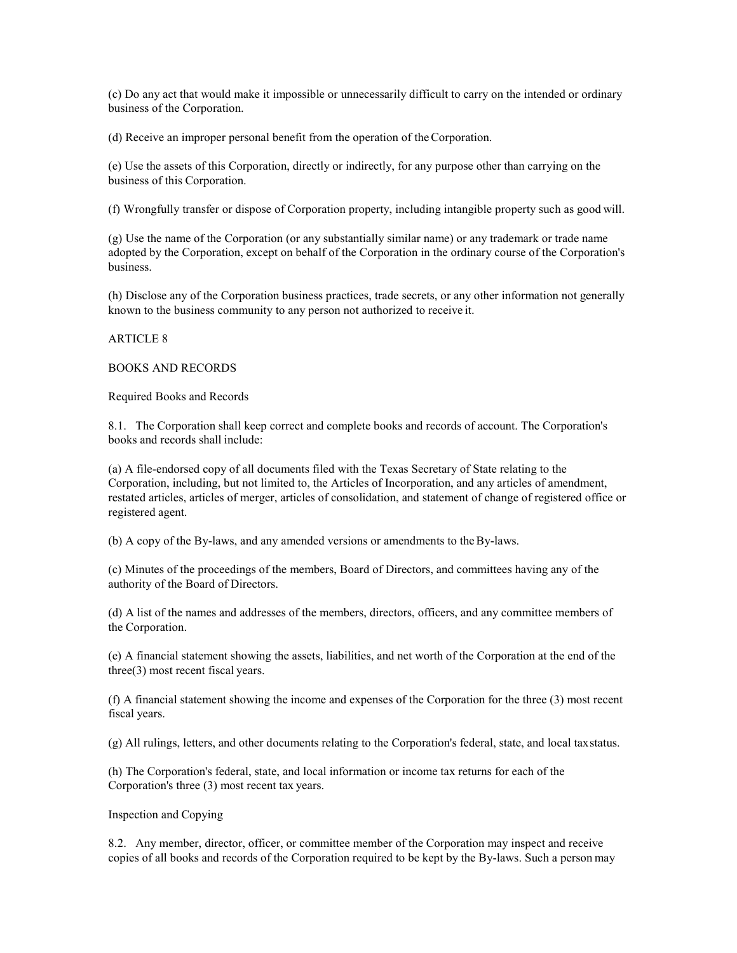(c) Do any act that would make it impossible or unnecessarily difficult to carry on the intended or ordinary business of the Corporation.

(d) Receive an improper personal benefit from the operation of theCorporation.

(e) Use the assets of this Corporation, directly or indirectly, for any purpose other than carrying on the business of this Corporation.

(f) Wrongfully transfer or dispose of Corporation property, including intangible property such as good will.

(g) Use the name of the Corporation (or any substantially similar name) or any trademark or trade name adopted by the Corporation, except on behalf of the Corporation in the ordinary course of the Corporation's business.

(h) Disclose any of the Corporation business practices, trade secrets, or any other information not generally known to the business community to any person not authorized to receive it.

### ARTICLE 8

## BOOKS AND RECORDS

Required Books and Records

8.1. The Corporation shall keep correct and complete books and records of account. The Corporation's books and records shall include:

(a) A file-endorsed copy of all documents filed with the Texas Secretary of State relating to the Corporation, including, but not limited to, the Articles of Incorporation, and any articles of amendment, restated articles, articles of merger, articles of consolidation, and statement of change of registered office or registered agent.

(b) A copy of the By-laws, and any amended versions or amendments to theBy-laws.

(c) Minutes of the proceedings of the members, Board of Directors, and committees having any of the authority of the Board of Directors.

(d) A list of the names and addresses of the members, directors, officers, and any committee members of the Corporation.

(e) A financial statement showing the assets, liabilities, and net worth of the Corporation at the end of the three(3) most recent fiscal years.

(f) A financial statement showing the income and expenses of the Corporation for the three (3) most recent fiscal years.

(g) All rulings, letters, and other documents relating to the Corporation's federal, state, and local taxstatus.

(h) The Corporation's federal, state, and local information or income tax returns for each of the Corporation's three (3) most recent tax years.

### Inspection and Copying

8.2. Any member, director, officer, or committee member of the Corporation may inspect and receive copies of all books and records of the Corporation required to be kept by the By-laws. Such a person may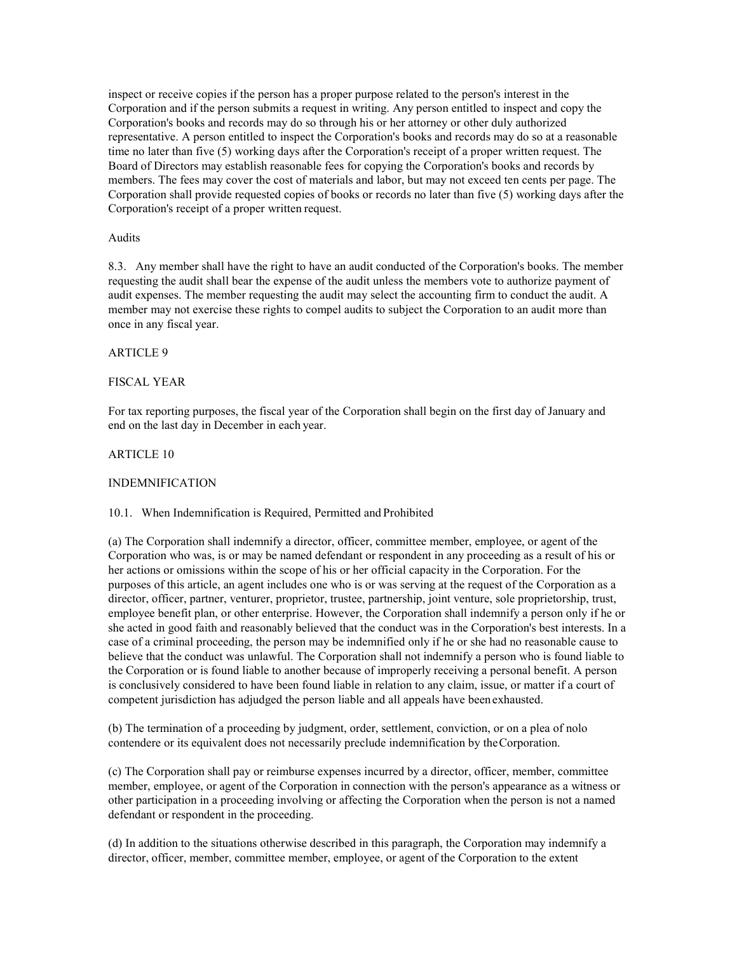inspect or receive copies if the person has a proper purpose related to the person's interest in the Corporation and if the person submits a request in writing. Any person entitled to inspect and copy the Corporation's books and records may do so through his or her attorney or other duly authorized representative. A person entitled to inspect the Corporation's books and records may do so at a reasonable time no later than five (5) working days after the Corporation's receipt of a proper written request. The Board of Directors may establish reasonable fees for copying the Corporation's books and records by members. The fees may cover the cost of materials and labor, but may not exceed ten cents per page. The Corporation shall provide requested copies of books or records no later than five (5) working days after the Corporation's receipt of a proper written request.

### Audits

8.3. Any member shall have the right to have an audit conducted of the Corporation's books. The member requesting the audit shall bear the expense of the audit unless the members vote to authorize payment of audit expenses. The member requesting the audit may select the accounting firm to conduct the audit. A member may not exercise these rights to compel audits to subject the Corporation to an audit more than once in any fiscal year.

## ARTICLE 9

## FISCAL YEAR

For tax reporting purposes, the fiscal year of the Corporation shall begin on the first day of January and end on the last day in December in each year.

## ARTICLE 10

### INDEMNIFICATION

### 10.1. When Indemnification is Required, Permitted and Prohibited

(a) The Corporation shall indemnify a director, officer, committee member, employee, or agent of the Corporation who was, is or may be named defendant or respondent in any proceeding as a result of his or her actions or omissions within the scope of his or her official capacity in the Corporation. For the purposes of this article, an agent includes one who is or was serving at the request of the Corporation as a director, officer, partner, venturer, proprietor, trustee, partnership, joint venture, sole proprietorship, trust, employee benefit plan, or other enterprise. However, the Corporation shall indemnify a person only if he or she acted in good faith and reasonably believed that the conduct was in the Corporation's best interests. In a case of a criminal proceeding, the person may be indemnified only if he or she had no reasonable cause to believe that the conduct was unlawful. The Corporation shall not indemnify a person who is found liable to the Corporation or is found liable to another because of improperly receiving a personal benefit. A person is conclusively considered to have been found liable in relation to any claim, issue, or matter if a court of competent jurisdiction has adjudged the person liable and all appeals have been exhausted.

(b) The termination of a proceeding by judgment, order, settlement, conviction, or on a plea of nolo contendere or its equivalent does not necessarily preclude indemnification by theCorporation.

(c) The Corporation shall pay or reimburse expenses incurred by a director, officer, member, committee member, employee, or agent of the Corporation in connection with the person's appearance as a witness or other participation in a proceeding involving or affecting the Corporation when the person is not a named defendant or respondent in the proceeding.

(d) In addition to the situations otherwise described in this paragraph, the Corporation may indemnify a director, officer, member, committee member, employee, or agent of the Corporation to the extent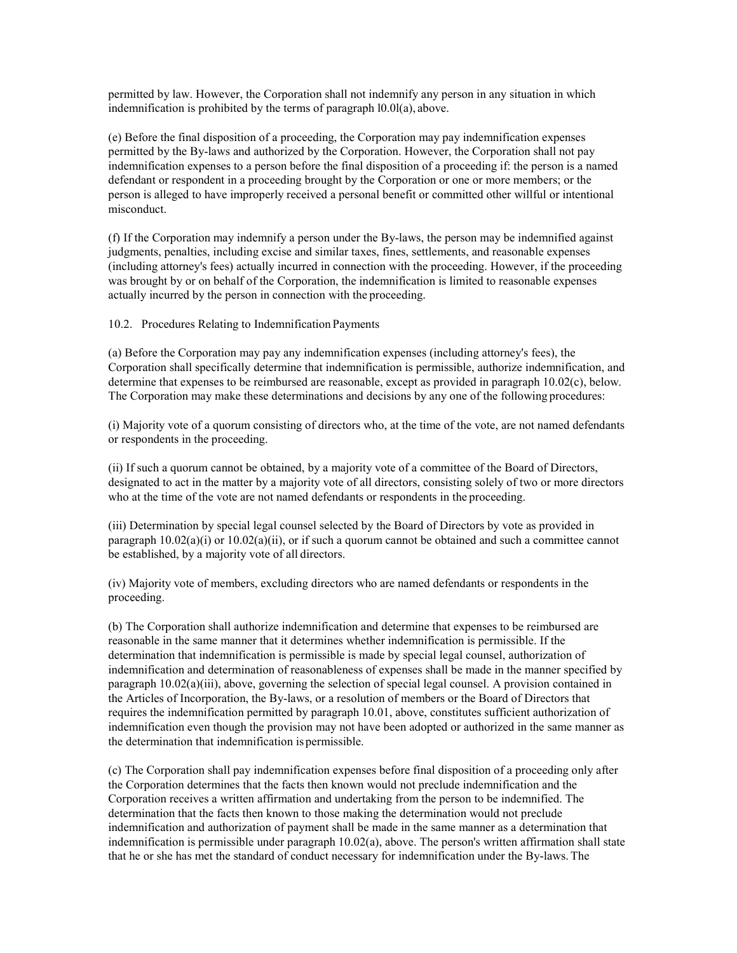permitted by law. However, the Corporation shall not indemnify any person in any situation in which indemnification is prohibited by the terms of paragraph l0.0l(a), above.

(e) Before the final disposition of a proceeding, the Corporation may pay indemnification expenses permitted by the By-laws and authorized by the Corporation. However, the Corporation shall not pay indemnification expenses to a person before the final disposition of a proceeding if: the person is a named defendant or respondent in a proceeding brought by the Corporation or one or more members; or the person is alleged to have improperly received a personal benefit or committed other willful or intentional misconduct.

(f) If the Corporation may indemnify a person under the By-laws, the person may be indemnified against judgments, penalties, including excise and similar taxes, fines, settlements, and reasonable expenses (including attorney's fees) actually incurred in connection with the proceeding. However, if the proceeding was brought by or on behalf of the Corporation, the indemnification is limited to reasonable expenses actually incurred by the person in connection with the proceeding.

10.2. Procedures Relating to Indemnification Payments

(a) Before the Corporation may pay any indemnification expenses (including attorney's fees), the Corporation shall specifically determine that indemnification is permissible, authorize indemnification, and determine that expenses to be reimbursed are reasonable, except as provided in paragraph 10.02(c), below. The Corporation may make these determinations and decisions by any one of the following procedures:

(i) Majority vote of a quorum consisting of directors who, at the time of the vote, are not named defendants or respondents in the proceeding.

(ii) If such a quorum cannot be obtained, by a majority vote of a committee of the Board of Directors, designated to act in the matter by a majority vote of all directors, consisting solely of two or more directors who at the time of the vote are not named defendants or respondents in the proceeding.

(iii) Determination by special legal counsel selected by the Board of Directors by vote as provided in paragraph  $10.02(a)(i)$  or  $10.02(a)(ii)$ , or if such a quorum cannot be obtained and such a committee cannot be established, by a majority vote of all directors.

(iv) Majority vote of members, excluding directors who are named defendants or respondents in the proceeding.

(b) The Corporation shall authorize indemnification and determine that expenses to be reimbursed are reasonable in the same manner that it determines whether indemnification is permissible. If the determination that indemnification is permissible is made by special legal counsel, authorization of indemnification and determination of reasonableness of expenses shall be made in the manner specified by paragraph 10.02(a)(iii), above, governing the selection of special legal counsel. A provision contained in the Articles of Incorporation, the By-laws, or a resolution of members or the Board of Directors that requires the indemnification permitted by paragraph 10.01, above, constitutes sufficient authorization of indemnification even though the provision may not have been adopted or authorized in the same manner as the determination that indemnification is permissible.

(c) The Corporation shall pay indemnification expenses before final disposition of a proceeding only after the Corporation determines that the facts then known would not preclude indemnification and the Corporation receives a written affirmation and undertaking from the person to be indemnified. The determination that the facts then known to those making the determination would not preclude indemnification and authorization of payment shall be made in the same manner as a determination that indemnification is permissible under paragraph 10.02(a), above. The person's written affirmation shall state that he or she has met the standard of conduct necessary for indemnification under the By-laws. The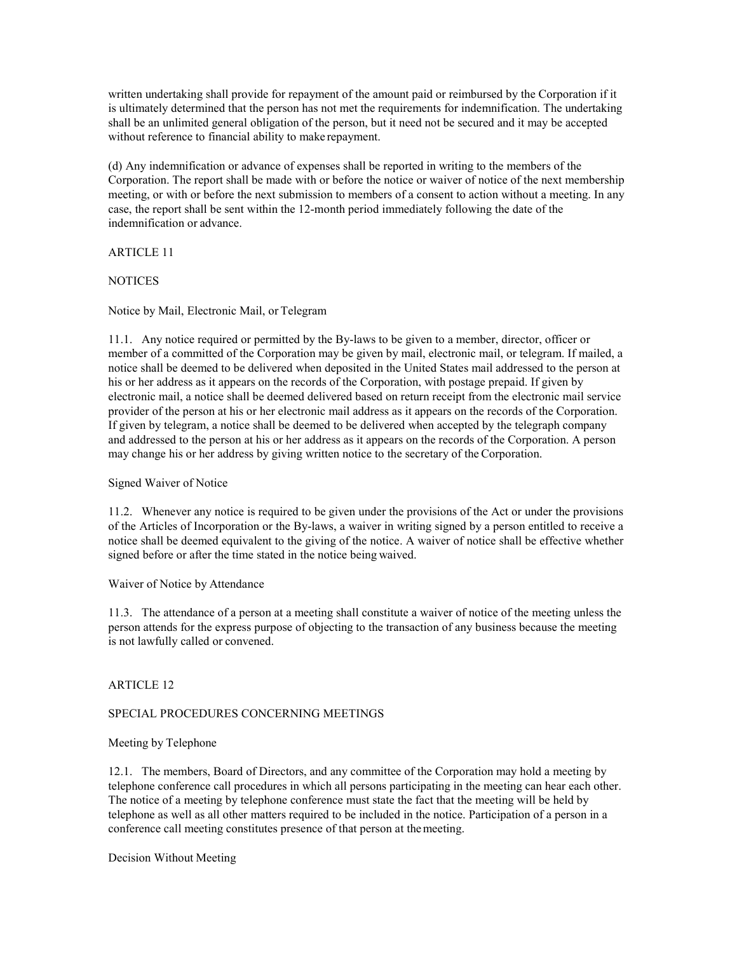written undertaking shall provide for repayment of the amount paid or reimbursed by the Corporation if it is ultimately determined that the person has not met the requirements for indemnification. The undertaking shall be an unlimited general obligation of the person, but it need not be secured and it may be accepted without reference to financial ability to make repayment.

(d) Any indemnification or advance of expenses shall be reported in writing to the members of the Corporation. The report shall be made with or before the notice or waiver of notice of the next membership meeting, or with or before the next submission to members of a consent to action without a meeting. In any case, the report shall be sent within the 12-month period immediately following the date of the indemnification or advance.

# ARTICLE 11

# **NOTICES**

# Notice by Mail, Electronic Mail, or Telegram

11.1. Any notice required or permitted by the By-laws to be given to a member, director, officer or member of a committed of the Corporation may be given by mail, electronic mail, or telegram. If mailed, a notice shall be deemed to be delivered when deposited in the United States mail addressed to the person at his or her address as it appears on the records of the Corporation, with postage prepaid. If given by electronic mail, a notice shall be deemed delivered based on return receipt from the electronic mail service provider of the person at his or her electronic mail address as it appears on the records of the Corporation. If given by telegram, a notice shall be deemed to be delivered when accepted by the telegraph company and addressed to the person at his or her address as it appears on the records of the Corporation. A person may change his or her address by giving written notice to the secretary of the Corporation.

# Signed Waiver of Notice

11.2. Whenever any notice is required to be given under the provisions of the Act or under the provisions of the Articles of Incorporation or the By-laws, a waiver in writing signed by a person entitled to receive a notice shall be deemed equivalent to the giving of the notice. A waiver of notice shall be effective whether signed before or after the time stated in the notice being waived.

### Waiver of Notice by Attendance

11.3. The attendance of a person at a meeting shall constitute a waiver of notice of the meeting unless the person attends for the express purpose of objecting to the transaction of any business because the meeting is not lawfully called or convened.

# ARTICLE 12

# SPECIAL PROCEDURES CONCERNING MEETINGS

# Meeting by Telephone

12.1. The members, Board of Directors, and any committee of the Corporation may hold a meeting by telephone conference call procedures in which all persons participating in the meeting can hear each other. The notice of a meeting by telephone conference must state the fact that the meeting will be held by telephone as well as all other matters required to be included in the notice. Participation of a person in a conference call meeting constitutes presence of that person at themeeting.

Decision Without Meeting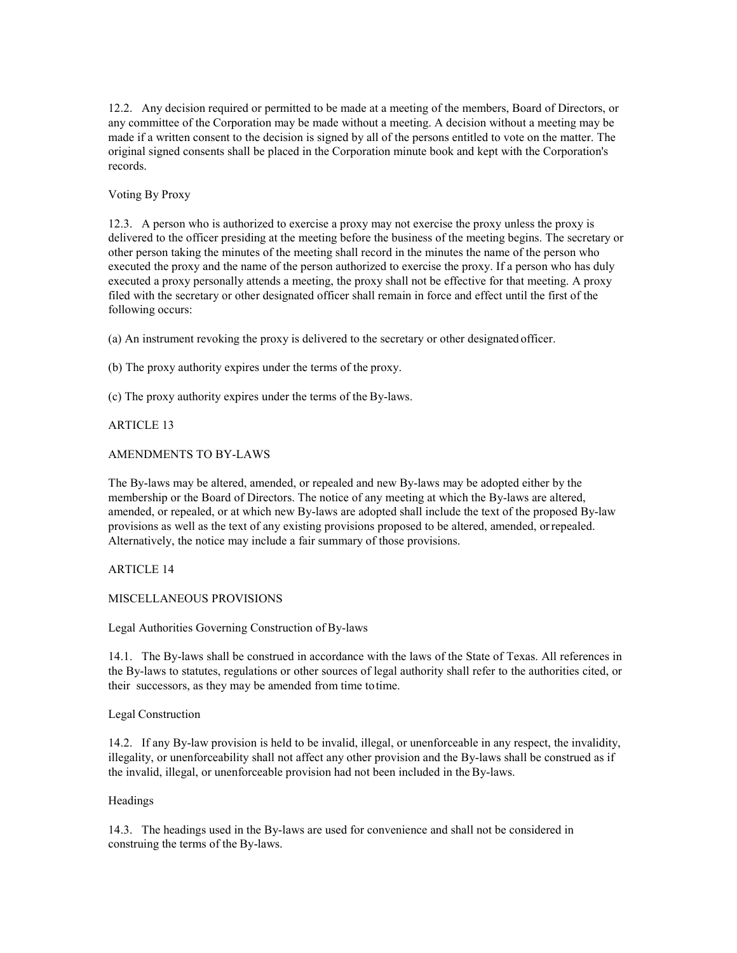12.2. Any decision required or permitted to be made at a meeting of the members, Board of Directors, or any committee of the Corporation may be made without a meeting. A decision without a meeting may be made if a written consent to the decision is signed by all of the persons entitled to vote on the matter. The original signed consents shall be placed in the Corporation minute book and kept with the Corporation's records.

# Voting By Proxy

12.3. A person who is authorized to exercise a proxy may not exercise the proxy unless the proxy is delivered to the officer presiding at the meeting before the business of the meeting begins. The secretary or other person taking the minutes of the meeting shall record in the minutes the name of the person who executed the proxy and the name of the person authorized to exercise the proxy. If a person who has duly executed a proxy personally attends a meeting, the proxy shall not be effective for that meeting. A proxy filed with the secretary or other designated officer shall remain in force and effect until the first of the following occurs:

(a) An instrument revoking the proxy is delivered to the secretary or other designated officer.

(b) The proxy authority expires under the terms of the proxy.

(c) The proxy authority expires under the terms of the By-laws.

## ARTICLE 13

## AMENDMENTS TO BY-LAWS

The By-laws may be altered, amended, or repealed and new By-laws may be adopted either by the membership or the Board of Directors. The notice of any meeting at which the By-laws are altered, amended, or repealed, or at which new By-laws are adopted shall include the text of the proposed By-law provisions as well as the text of any existing provisions proposed to be altered, amended, orrepealed. Alternatively, the notice may include a fair summary of those provisions.

## ARTICLE 14

## MISCELLANEOUS PROVISIONS

Legal Authorities Governing Construction of By-laws

14.1. The By-laws shall be construed in accordance with the laws of the State of Texas. All references in the By-laws to statutes, regulations or other sources of legal authority shall refer to the authorities cited, or their successors, as they may be amended from time totime.

### Legal Construction

14.2. If any By-law provision is held to be invalid, illegal, or unenforceable in any respect, the invalidity, illegality, or unenforceability shall not affect any other provision and the By-laws shall be construed as if the invalid, illegal, or unenforceable provision had not been included in the By-laws.

### Headings

14.3. The headings used in the By-laws are used for convenience and shall not be considered in construing the terms of the By-laws.